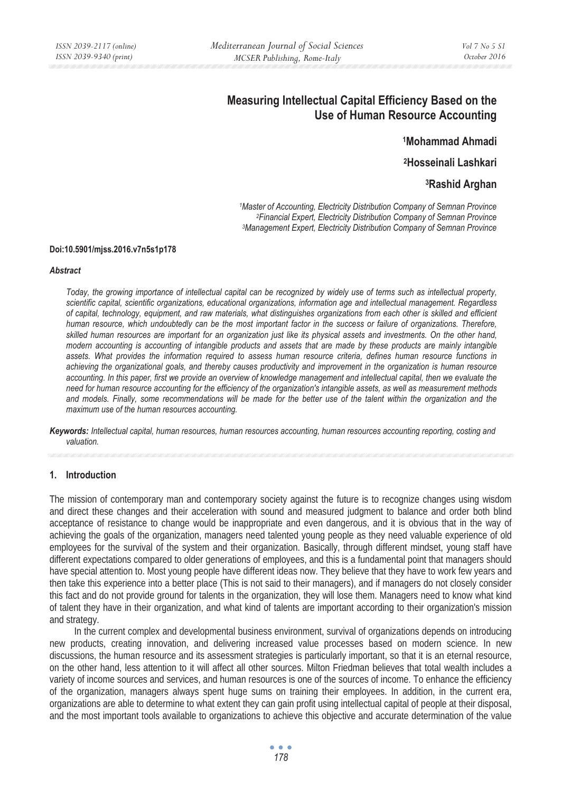# **Measuring Intellectual Capital Efficiency Based on the Use of Human Resource Accounting**

**1Mohammad Ahmadi** 

**2Hosseinali Lashkari** 

# **3Rashid Arghan**

<sup>1</sup>Master of Accounting, Electricity Distribution Company of Semnan Province<sup>2</sup>Financial Expert, Electricity Distribution Company of Semnan Province<sup>3</sup>Management Expert, Electricity Distribution Company of Semnan Province<sup></sup>

#### **Doi:10.5901/mjss.2016.v7n5s1p178**

#### *Abstract*

*Today, the growing importance of intellectual capital can be recognized by widely use of terms such as intellectual property, scientific capital, scientific organizations, educational organizations, information age and intellectual management. Regardless of capital, technology, equipment, and raw materials, what distinguishes organizations from each other is skilled and efficient human resource, which undoubtedly can be the most important factor in the success or failure of organizations. Therefore, skilled human resources are important for an organization just like its physical assets and investments. On the other hand, modern accounting is accounting of intangible products and assets that are made by these products are mainly intangible assets. What provides the information required to assess human resource criteria, defines human resource functions in achieving the organizational goals, and thereby causes productivity and improvement in the organization is human resource accounting. In this paper, first we provide an overview of knowledge management and intellectual capital, then we evaluate the need for human resource accounting for the efficiency of the organization's intangible assets, as well as measurement methods*  and models. Finally, some recommendations will be made for the better use of the talent within the organization and the *maximum use of the human resources accounting.* 

*Keywords: Intellectual capital, human resources, human resources accounting, human resources accounting reporting, costing and valuation.* 

#### **1. Introduction**

The mission of contemporary man and contemporary society against the future is to recognize changes using wisdom and direct these changes and their acceleration with sound and measured judgment to balance and order both blind acceptance of resistance to change would be inappropriate and even dangerous, and it is obvious that in the way of achieving the goals of the organization, managers need talented young people as they need valuable experience of old employees for the survival of the system and their organization. Basically, through different mindset, young staff have different expectations compared to older generations of employees, and this is a fundamental point that managers should have special attention to. Most young people have different ideas now. They believe that they have to work few years and then take this experience into a better place (This is not said to their managers), and if managers do not closely consider this fact and do not provide ground for talents in the organization, they will lose them. Managers need to know what kind of talent they have in their organization, and what kind of talents are important according to their organization's mission and strategy.

In the current complex and developmental business environment, survival of organizations depends on introducing new products, creating innovation, and delivering increased value processes based on modern science. In new discussions, the human resource and its assessment strategies is particularly important, so that it is an eternal resource, on the other hand, less attention to it will affect all other sources. Milton Friedman believes that total wealth includes a variety of income sources and services, and human resources is one of the sources of income. To enhance the efficiency of the organization, managers always spent huge sums on training their employees. In addition, in the current era, organizations are able to determine to what extent they can gain profit using intellectual capital of people at their disposal, and the most important tools available to organizations to achieve this objective and accurate determination of the value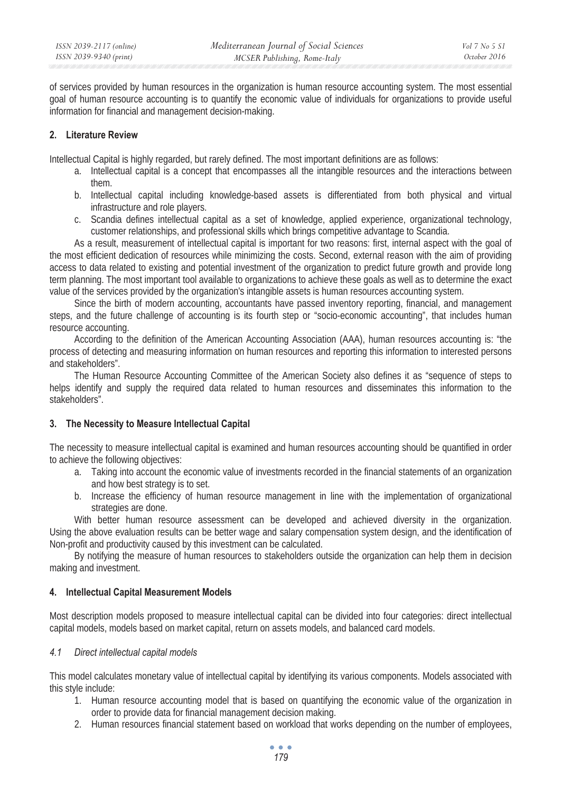of services provided by human resources in the organization is human resource accounting system. The most essential goal of human resource accounting is to quantify the economic value of individuals for organizations to provide useful information for financial and management decision-making.

### **2. Literature Review**

Intellectual Capital is highly regarded, but rarely defined. The most important definitions are as follows:

- a. Intellectual capital is a concept that encompasses all the intangible resources and the interactions between them.
- b. Intellectual capital including knowledge-based assets is differentiated from both physical and virtual infrastructure and role players.
- c. Scandia defines intellectual capital as a set of knowledge, applied experience, organizational technology, customer relationships, and professional skills which brings competitive advantage to Scandia.

As a result, measurement of intellectual capital is important for two reasons: first, internal aspect with the goal of the most efficient dedication of resources while minimizing the costs. Second, external reason with the aim of providing access to data related to existing and potential investment of the organization to predict future growth and provide long term planning. The most important tool available to organizations to achieve these goals as well as to determine the exact value of the services provided by the organization's intangible assets is human resources accounting system.

Since the birth of modern accounting, accountants have passed inventory reporting, financial, and management steps, and the future challenge of accounting is its fourth step or "socio-economic accounting", that includes human resource accounting.

According to the definition of the American Accounting Association (AAA), human resources accounting is: "the process of detecting and measuring information on human resources and reporting this information to interested persons and stakeholders".

The Human Resource Accounting Committee of the American Society also defines it as "sequence of steps to helps identify and supply the required data related to human resources and disseminates this information to the stakeholders".

## **3. The Necessity to Measure Intellectual Capital**

The necessity to measure intellectual capital is examined and human resources accounting should be quantified in order to achieve the following objectives:

- a. Taking into account the economic value of investments recorded in the financial statements of an organization and how best strategy is to set.
- b. Increase the efficiency of human resource management in line with the implementation of organizational strategies are done.

With better human resource assessment can be developed and achieved diversity in the organization. Using the above evaluation results can be better wage and salary compensation system design, and the identification of Non-profit and productivity caused by this investment can be calculated.

By notifying the measure of human resources to stakeholders outside the organization can help them in decision making and investment.

## **4. Intellectual Capital Measurement Models**

Most description models proposed to measure intellectual capital can be divided into four categories: direct intellectual capital models, models based on market capital, return on assets models, and balanced card models.

#### *4.1 Direct intellectual capital models*

This model calculates monetary value of intellectual capital by identifying its various components. Models associated with this style include:

- 1. Human resource accounting model that is based on quantifying the economic value of the organization in order to provide data for financial management decision making.
- 2. Human resources financial statement based on workload that works depending on the number of employees,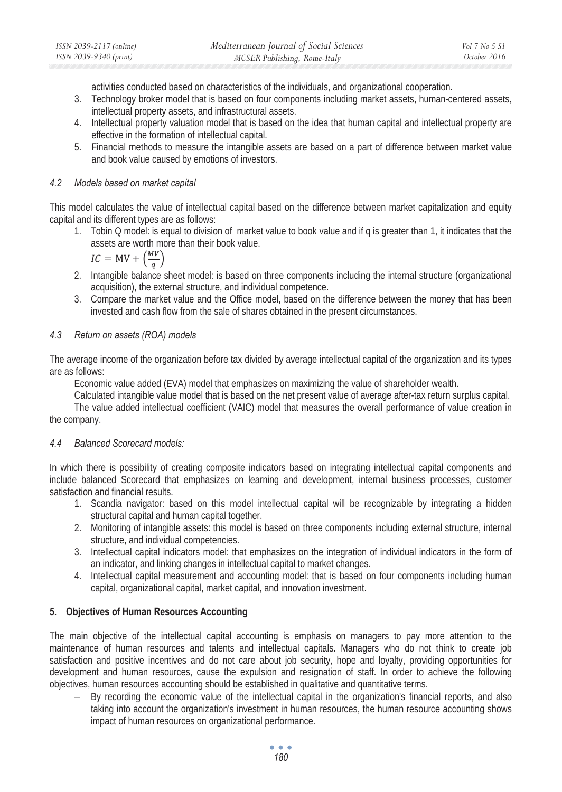activities conducted based on characteristics of the individuals, and organizational cooperation.

- 3. Technology broker model that is based on four components including market assets, human-centered assets, intellectual property assets, and infrastructural assets.
- 4. Intellectual property valuation model that is based on the idea that human capital and intellectual property are effective in the formation of intellectual capital.
- 5. Financial methods to measure the intangible assets are based on a part of difference between market value and book value caused by emotions of investors.

### *4.2 Models based on market capital*

This model calculates the value of intellectual capital based on the difference between market capitalization and equity capital and its different types are as follows:

1. Tobin Q model: is equal to division of market value to book value and if q is greater than 1, it indicates that the assets are worth more than their book value.

 $IC = MV + \left(\frac{MV}{q}\right)$ 

- 2. Intangible balance sheet model: is based on three components including the internal structure (organizational acquisition), the external structure, and individual competence.
- 3. Compare the market value and the Office model, based on the difference between the money that has been invested and cash flow from the sale of shares obtained in the present circumstances.

# *4.3 Return on assets (ROA) models*

The average income of the organization before tax divided by average intellectual capital of the organization and its types are as follows:

Economic value added (EVA) model that emphasizes on maximizing the value of shareholder wealth.

Calculated intangible value model that is based on the net present value of average after-tax return surplus capital.

The value added intellectual coefficient (VAIC) model that measures the overall performance of value creation in the company.

## *4.4 Balanced Scorecard models:*

In which there is possibility of creating composite indicators based on integrating intellectual capital components and include balanced Scorecard that emphasizes on learning and development, internal business processes, customer satisfaction and financial results.

- 1. Scandia navigator: based on this model intellectual capital will be recognizable by integrating a hidden structural capital and human capital together.
- 2. Monitoring of intangible assets: this model is based on three components including external structure, internal structure, and individual competencies.
- 3. Intellectual capital indicators model: that emphasizes on the integration of individual indicators in the form of an indicator, and linking changes in intellectual capital to market changes.
- 4. Intellectual capital measurement and accounting model: that is based on four components including human capital, organizational capital, market capital, and innovation investment.

## **5. Objectives of Human Resources Accounting**

The main objective of the intellectual capital accounting is emphasis on managers to pay more attention to the maintenance of human resources and talents and intellectual capitals. Managers who do not think to create job satisfaction and positive incentives and do not care about job security, hope and loyalty, providing opportunities for development and human resources, cause the expulsion and resignation of staff. In order to achieve the following objectives, human resources accounting should be established in qualitative and quantitative terms.

− By recording the economic value of the intellectual capital in the organization's financial reports, and also taking into account the organization's investment in human resources, the human resource accounting shows impact of human resources on organizational performance.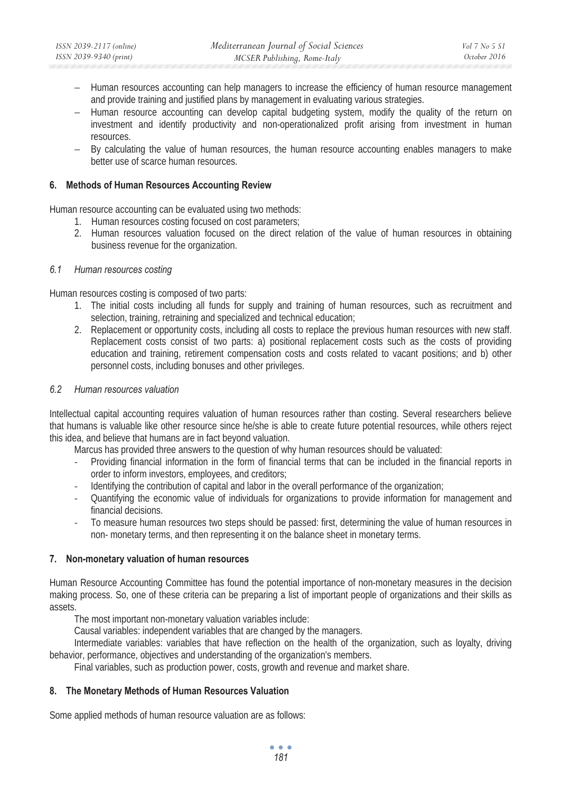- − Human resources accounting can help managers to increase the efficiency of human resource management and provide training and justified plans by management in evaluating various strategies.
- − Human resource accounting can develop capital budgeting system, modify the quality of the return on investment and identify productivity and non-operationalized profit arising from investment in human resources.
- − By calculating the value of human resources, the human resource accounting enables managers to make better use of scarce human resources.

### **6. Methods of Human Resources Accounting Review**

Human resource accounting can be evaluated using two methods:

- 1. Human resources costing focused on cost parameters;
- 2. Human resources valuation focused on the direct relation of the value of human resources in obtaining business revenue for the organization.

#### *6.1 Human resources costing*

Human resources costing is composed of two parts:

- 1. The initial costs including all funds for supply and training of human resources, such as recruitment and selection, training, retraining and specialized and technical education;
- 2. Replacement or opportunity costs, including all costs to replace the previous human resources with new staff. Replacement costs consist of two parts: a) positional replacement costs such as the costs of providing education and training, retirement compensation costs and costs related to vacant positions; and b) other personnel costs, including bonuses and other privileges.

#### *6.2 Human resources valuation*

Intellectual capital accounting requires valuation of human resources rather than costing. Several researchers believe that humans is valuable like other resource since he/she is able to create future potential resources, while others reject this idea, and believe that humans are in fact beyond valuation.

Marcus has provided three answers to the question of why human resources should be valuated:

- Providing financial information in the form of financial terms that can be included in the financial reports in order to inform investors, employees, and creditors;
- Identifying the contribution of capital and labor in the overall performance of the organization;
- Quantifying the economic value of individuals for organizations to provide information for management and financial decisions.
- To measure human resources two steps should be passed: first, determining the value of human resources in non- monetary terms, and then representing it on the balance sheet in monetary terms.

## **7. Non-monetary valuation of human resources**

Human Resource Accounting Committee has found the potential importance of non-monetary measures in the decision making process. So, one of these criteria can be preparing a list of important people of organizations and their skills as assets.

The most important non-monetary valuation variables include:

Causal variables: independent variables that are changed by the managers.

Intermediate variables: variables that have reflection on the health of the organization, such as loyalty, driving behavior, performance, objectives and understanding of the organization's members.

Final variables, such as production power, costs, growth and revenue and market share.

## **8. The Monetary Methods of Human Resources Valuation**

Some applied methods of human resource valuation are as follows: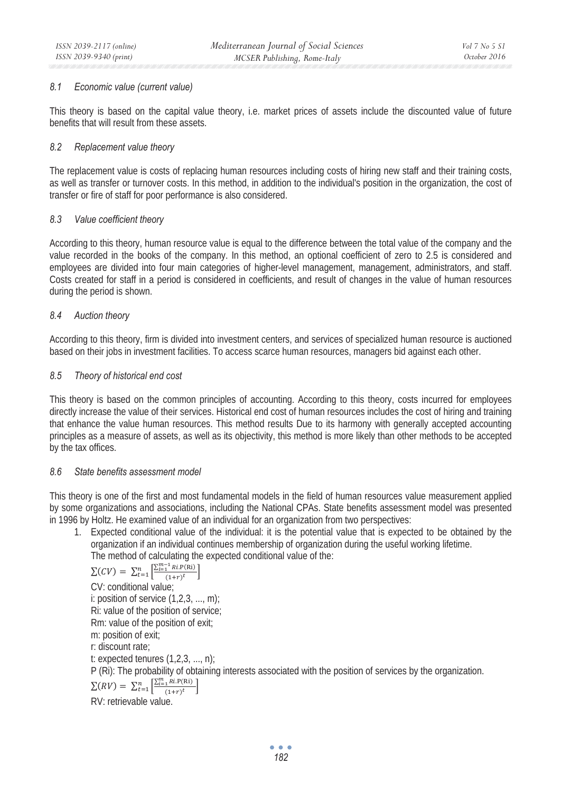### *8.1 Economic value (current value)*

This theory is based on the capital value theory, i.e. market prices of assets include the discounted value of future benefits that will result from these assets.

### *8.2 Replacement value theory*

The replacement value is costs of replacing human resources including costs of hiring new staff and their training costs, as well as transfer or turnover costs. In this method, in addition to the individual's position in the organization, the cost of transfer or fire of staff for poor performance is also considered.

### *8.3 Value coefficient theory*

According to this theory, human resource value is equal to the difference between the total value of the company and the value recorded in the books of the company. In this method, an optional coefficient of zero to 2.5 is considered and employees are divided into four main categories of higher-level management, management, administrators, and staff. Costs created for staff in a period is considered in coefficients, and result of changes in the value of human resources during the period is shown.

## *8.4 Auction theory*

According to this theory, firm is divided into investment centers, and services of specialized human resource is auctioned based on their jobs in investment facilities. To access scarce human resources, managers bid against each other.

### *8.5 Theory of historical end cost*

This theory is based on the common principles of accounting. According to this theory, costs incurred for employees directly increase the value of their services. Historical end cost of human resources includes the cost of hiring and training that enhance the value human resources. This method results Due to its harmony with generally accepted accounting principles as a measure of assets, as well as its objectivity, this method is more likely than other methods to be accepted by the tax offices.

## *8.6 State benefits assessment model*

This theory is one of the first and most fundamental models in the field of human resources value measurement applied by some organizations and associations, including the National CPAs. State benefits assessment model was presented in 1996 by Holtz. He examined value of an individual for an organization from two perspectives:

1. Expected conditional value of the individual: it is the potential value that is expected to be obtained by the organization if an individual continues membership of organization during the useful working lifetime. The method of calculating the expected conditional value of the:

$$
\sum(CV) = \sum_{t=1}^{n} \left[ \frac{\sum_{t=1}^{m} R L P(Ri)}{(1+r)^t} \right]
$$
  
CV: conditional value;  
i: position of service (1,2,3, ..., m);  
Ri: value of the position of service;  
Rm: value of the position of exit;  
m: position of exit;  
r: discount rate;  
t: expected tennes (1,2,3, ..., n);  
P (Ri): The probability of obtaining interests associated with the position of services by the organization.  

$$
\sum (RV) = \sum_{t=1}^{m} \left[ \frac{\sum_{t=1}^{m} R L P(Ri)}{(1+r)^t} \right]
$$
  
RV: retrieveable value.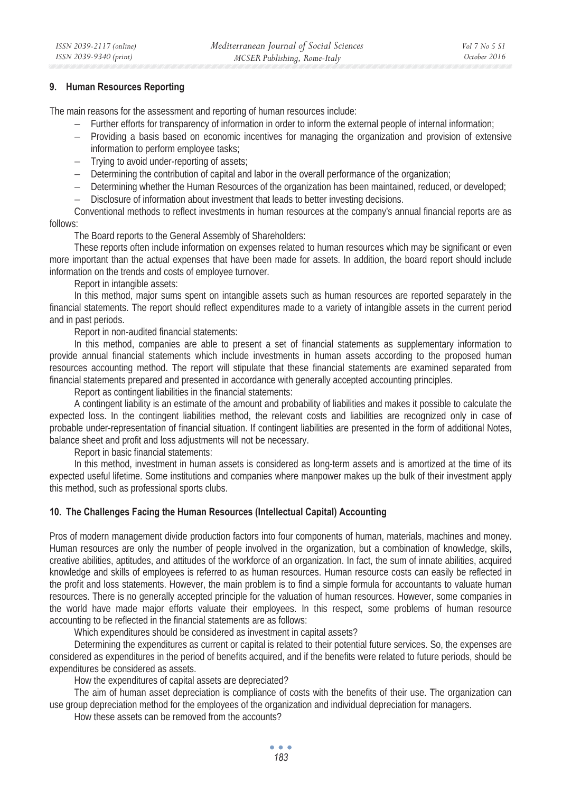#### **9. Human Resources Reporting**

The main reasons for the assessment and reporting of human resources include:

- − Further efforts for transparency of information in order to inform the external people of internal information;
- − Providing a basis based on economic incentives for managing the organization and provision of extensive information to perform employee tasks;
- − Trying to avoid under-reporting of assets;
- − Determining the contribution of capital and labor in the overall performance of the organization;
- − Determining whether the Human Resources of the organization has been maintained, reduced, or developed;
- Disclosure of information about investment that leads to better investing decisions.

Conventional methods to reflect investments in human resources at the company's annual financial reports are as follows:

The Board reports to the General Assembly of Shareholders:

These reports often include information on expenses related to human resources which may be significant or even more important than the actual expenses that have been made for assets. In addition, the board report should include information on the trends and costs of employee turnover.

Report in intangible assets:

In this method, major sums spent on intangible assets such as human resources are reported separately in the financial statements. The report should reflect expenditures made to a variety of intangible assets in the current period and in past periods.

Report in non-audited financial statements:

In this method, companies are able to present a set of financial statements as supplementary information to provide annual financial statements which include investments in human assets according to the proposed human resources accounting method. The report will stipulate that these financial statements are examined separated from financial statements prepared and presented in accordance with generally accepted accounting principles.

Report as contingent liabilities in the financial statements:

A contingent liability is an estimate of the amount and probability of liabilities and makes it possible to calculate the expected loss. In the contingent liabilities method, the relevant costs and liabilities are recognized only in case of probable under-representation of financial situation. If contingent liabilities are presented in the form of additional Notes, balance sheet and profit and loss adjustments will not be necessary.

Report in basic financial statements:

In this method, investment in human assets is considered as long-term assets and is amortized at the time of its expected useful lifetime. Some institutions and companies where manpower makes up the bulk of their investment apply this method, such as professional sports clubs.

#### **10. The Challenges Facing the Human Resources (Intellectual Capital) Accounting**

Pros of modern management divide production factors into four components of human, materials, machines and money. Human resources are only the number of people involved in the organization, but a combination of knowledge, skills, creative abilities, aptitudes, and attitudes of the workforce of an organization. In fact, the sum of innate abilities, acquired knowledge and skills of employees is referred to as human resources. Human resource costs can easily be reflected in the profit and loss statements. However, the main problem is to find a simple formula for accountants to valuate human resources. There is no generally accepted principle for the valuation of human resources. However, some companies in the world have made major efforts valuate their employees. In this respect, some problems of human resource accounting to be reflected in the financial statements are as follows:

Which expenditures should be considered as investment in capital assets?

Determining the expenditures as current or capital is related to their potential future services. So, the expenses are considered as expenditures in the period of benefits acquired, and if the benefits were related to future periods, should be expenditures be considered as assets.

How the expenditures of capital assets are depreciated?

The aim of human asset depreciation is compliance of costs with the benefits of their use. The organization can use group depreciation method for the employees of the organization and individual depreciation for managers.

How these assets can be removed from the accounts?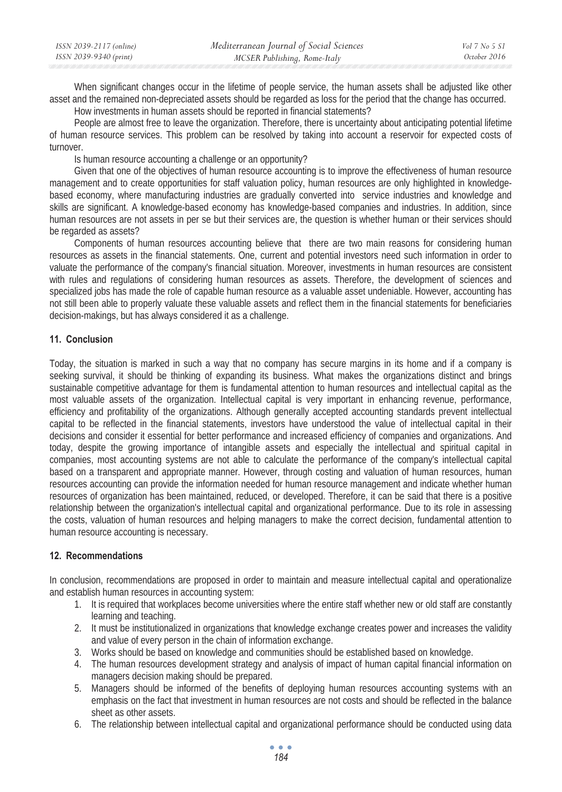| ISSN 2039-2117 (online) | Mediterranean Journal of Social Sciences | Vol 7 No 5 S1 |
|-------------------------|------------------------------------------|---------------|
| ISSN 2039-9340 (print)  | MCSER Publishing, Rome-Italy             | October 2016  |

When significant changes occur in the lifetime of people service, the human assets shall be adjusted like other asset and the remained non-depreciated assets should be regarded as loss for the period that the change has occurred.

How investments in human assets should be reported in financial statements?

People are almost free to leave the organization. Therefore, there is uncertainty about anticipating potential lifetime of human resource services. This problem can be resolved by taking into account a reservoir for expected costs of turnover.

Is human resource accounting a challenge or an opportunity?

Given that one of the objectives of human resource accounting is to improve the effectiveness of human resource management and to create opportunities for staff valuation policy, human resources are only highlighted in knowledgebased economy, where manufacturing industries are gradually converted into service industries and knowledge and skills are significant. A knowledge-based economy has knowledge-based companies and industries. In addition, since human resources are not assets in per se but their services are, the question is whether human or their services should be regarded as assets?

Components of human resources accounting believe that there are two main reasons for considering human resources as assets in the financial statements. One, current and potential investors need such information in order to valuate the performance of the company's financial situation. Moreover, investments in human resources are consistent with rules and regulations of considering human resources as assets. Therefore, the development of sciences and specialized jobs has made the role of capable human resource as a valuable asset undeniable. However, accounting has not still been able to properly valuate these valuable assets and reflect them in the financial statements for beneficiaries decision-makings, but has always considered it as a challenge.

### **11. Conclusion**

Today, the situation is marked in such a way that no company has secure margins in its home and if a company is seeking survival, it should be thinking of expanding its business. What makes the organizations distinct and brings sustainable competitive advantage for them is fundamental attention to human resources and intellectual capital as the most valuable assets of the organization. Intellectual capital is very important in enhancing revenue, performance, efficiency and profitability of the organizations. Although generally accepted accounting standards prevent intellectual capital to be reflected in the financial statements, investors have understood the value of intellectual capital in their decisions and consider it essential for better performance and increased efficiency of companies and organizations. And today, despite the growing importance of intangible assets and especially the intellectual and spiritual capital in companies, most accounting systems are not able to calculate the performance of the company's intellectual capital based on a transparent and appropriate manner. However, through costing and valuation of human resources, human resources accounting can provide the information needed for human resource management and indicate whether human resources of organization has been maintained, reduced, or developed. Therefore, it can be said that there is a positive relationship between the organization's intellectual capital and organizational performance. Due to its role in assessing the costs, valuation of human resources and helping managers to make the correct decision, fundamental attention to human resource accounting is necessary.

#### **12. Recommendations**

In conclusion, recommendations are proposed in order to maintain and measure intellectual capital and operationalize and establish human resources in accounting system:

- 1. It is required that workplaces become universities where the entire staff whether new or old staff are constantly learning and teaching.
- 2. It must be institutionalized in organizations that knowledge exchange creates power and increases the validity and value of every person in the chain of information exchange.
- 3. Works should be based on knowledge and communities should be established based on knowledge.
- 4. The human resources development strategy and analysis of impact of human capital financial information on managers decision making should be prepared.
- 5. Managers should be informed of the benefits of deploying human resources accounting systems with an emphasis on the fact that investment in human resources are not costs and should be reflected in the balance sheet as other assets.
- 6. The relationship between intellectual capital and organizational performance should be conducted using data